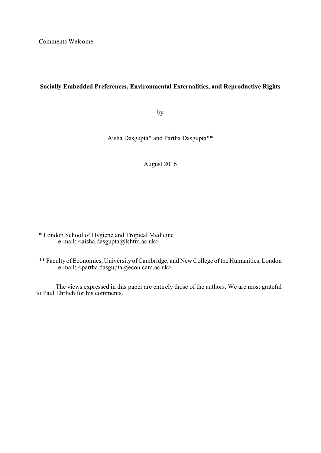Comments Welcome

# **Socially Embedded Preferences, Environmental Externalities, and Reproductive Rights**

by

Aisha Dasgupta\* and Partha Dasgupta\*\*

August 2016

\* London School of Hygiene and Tropical Medicine e-mail:  $\langle$ aisha.dasgupta@lshtm.ac.uk>

\*\* Faculty of Economics, University of Cambridge; and New College of the Humanities, London e-mail: <partha.dasgupta@econ.cam.ac.uk>

The views expressed in this paper are entirely those of the authors. We are most grateful to Paul Ehrlich for his comments.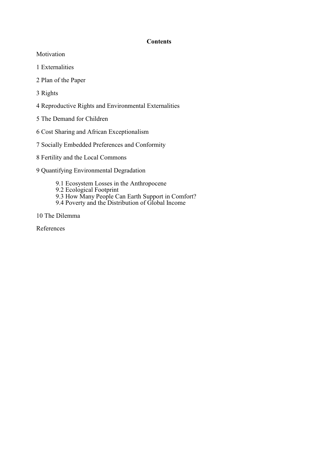# **Contents**

Motivation

1 Externalities

2 Plan of the Paper

3 Rights

4 Reproductive Rights and Environmental Externalities

5 The Demand for Children

6 Cost Sharing and African Exceptionalism

7 Socially Embedded Preferences and Conformity

8 Fertility and the Local Commons

9 Quantifying Environmental Degradation

9.1 Ecosystem Losses in the Anthropocene

9.2 Ecological Footprint

9.3 How Many People Can Earth Support in Comfort?

9.4 Poverty and the Distribution of Global Income

10 The Dilemma

References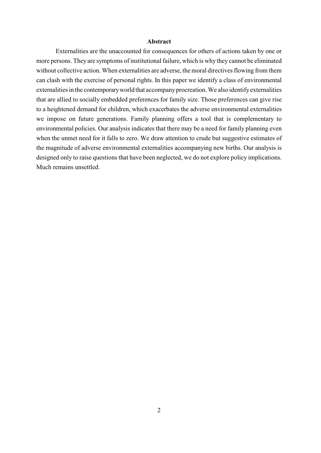### **Abstract**

Externalities are the unaccounted for consequences for others of actions taken by one or more persons. They are symptoms of institutional failure, which is why they cannot be eliminated without collective action. When externalities are adverse, the moral directives flowing from them can clash with the exercise of personal rights. In this paper we identify a class of environmental externalities in the contemporary world that accompany procreation. We also identify externalities that are allied to socially embedded preferences for family size. Those preferences can give rise to a heightened demand for children, which exacerbates the adverse environmental externalities we impose on future generations. Family planning offers a tool that is complementary to environmental policies. Our analysis indicates that there may be a need for family planning even when the unmet need for it falls to zero. We draw attention to crude but suggestive estimates of the magnitude of adverse environmental externalities accompanying new births. Our analysis is designed only to raise questions that have been neglected, we do not explore policy implications. Much remains unsettled.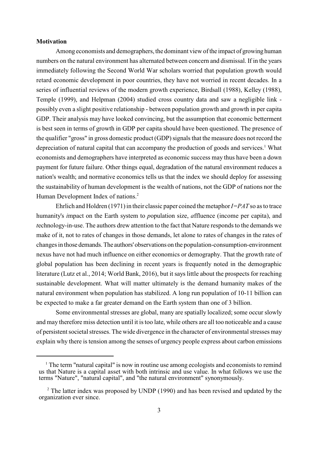### **Motivation**

Among economists and demographers, the dominant view of the impact of growing human numbers on the natural environment has alternated between concern and dismissal. If in the years immediately following the Second World War scholars worried that population growth would retard economic development in poor countries, they have not worried in recent decades. In a series of influential reviews of the modern growth experience, Birdsall (1988), Kelley (1988), Temple (1999), and Helpman (2004) studied cross country data and saw a negligible link possibly even a slight positive relationship - between population growth and growth in per capita GDP. Their analysis may have looked convincing, but the assumption that economic betterment is best seen in terms of growth in GDP per capita should have been questioned. The presence of the qualifier "gross" in gross domestic product (GDP) signals that the measure does not record the depreciation of natural capital that can accompany the production of goods and services.<sup>1</sup> What economists and demographers have interpreted as economic success may thus have been a down payment for future failure. Other things equal, degradation of the natural environment reduces a nation's wealth; and normative economics tells us that the index we should deploy for assessing the sustainability of human development is the wealth of nations, not the GDP of nations nor the Human Development Index of nations. 2

Ehrlich and Holdren (1971) in their classic paper coined the metaphor*I=PAT* so as to trace humanity's *i*mpact on the Earth system to *p*opulation size, *a*ffluence (income per capita), and *t*echnology-in-use. The authors drew attention to the fact that Nature responds to the demands we make of it, not to rates of changes in those demands, let alone to rates of changes in the rates of changes in those demands. The authors' observations on the population-consumption-environment nexus have not had much influence on either economics or demography. That the growth rate of global population has been declining in recent years is frequently noted in the demographic literature (Lutz et al., 2014; World Bank, 2016), but it says little about the prospects for reaching sustainable development. What will matter ultimately is the demand humanity makes of the natural environment when population has stabilized. A long run population of 10-11 billion can be expected to make a far greater demand on the Earth system than one of 3 billion.

Some environmental stresses are global, many are spatially localized; some occur slowly and may therefore miss detection until it is too late, while others are all too noticeable and a cause of persistent societal stresses. The wide divergence in the character of environmental stresses may explain why there is tension among the senses of urgency people express about carbon emissions

 $1$ . The term "natural capital" is now in routine use among ecologists and economists to remind us that Nature is a capital asset with both intrinsic and use value. In what follows we use the terms "Nature", "natural capital", and "the natural environment" synonymously.

 $2$  The latter index was proposed by UNDP (1990) and has been revised and updated by the organization ever since.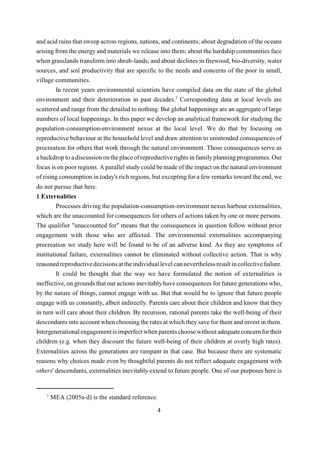and acid rains that sweep across regions, nations, and continents; about degradation of the oceans arising from the energy and materials we release into them; about the hardship communities face when grasslands transform into shrub-lands; and about declines in firewood, bio-diversity, water sources, and soil productivity that are specific to the needs and concerns of the poor in small, village communities.

In recent years environmental scientists have compiled data on the state of the global environment and their deterioration in past decades.<sup>3</sup> Corresponding data at local levels are scattered and range from the detailed to nothing. But global happenings are an aggregate of large numbers of local happenings. In this paper we develop an analytical framework for studying the population-consumption-environment nexus at the local level. We do that by focusing on reproductive behaviour at the household level and draw attention to unintended consequences of procreation for others that work through the natural environment. Those consequences serve as a backdrop to a discussion on the place of reproductive rights in family planning programmes. Our focus is on poor regions. A parallel study could be made of the impact on the natural environment of rising consumption in today's rich regions, but excepting for a few remarks toward the end, we do not pursue that here.

### **1 Externalities**

Processes driving the population-consumption-environment nexus harbour externalities, which are the unaccounted for consequences for others of actions taken by one or more persons. The qualifier "unaccounted for" means that the consequences in question follow without prior engagement with those who are affected. The environmental externalities accompanying procreation we study here will be found to be of an adverse kind. As they are symptoms of institutional failure, externalities cannot be eliminated without collective action. That is why reasoned reproductive decisions at the individual level can nevertheless result in collective failure.

It could be thought that the way we have formulated the notion of externalities is ineffective, on grounds that our actions inevitably have consequences for future generations who, by the nature of things, cannot engage with us. But that would be to ignore that future people engage with us constantly, albeit indirectly. Parents care about their children and know that they in turn will care about their children. By recursion, rational parents take the well-being of their descendants into account when choosing the rates at which they save for them and invest in them. Intergenerational engagement is imperfect when parents choose without adequate concern for their children (e.g. when they discount the future well-being of their children at overly high rates). Externalities across the generations are rampant in that case. But because there are systematic reasons why choices made even by thoughtful parents do not reflect adequate engagement with *others*' descendants, externalities inevitably extend to future people. One of our purposes here is

<sup>&</sup>lt;sup>3</sup> MEA (2005a-d) is the standard reference.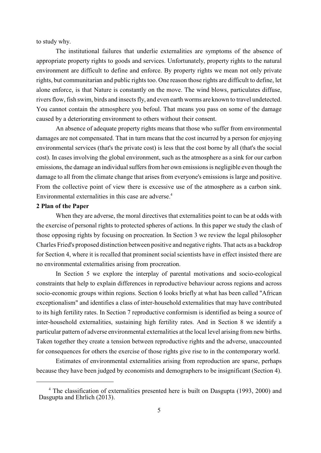to study why.

The institutional failures that underlie externalities are symptoms of the absence of appropriate property rights to goods and services. Unfortunately, property rights to the natural environment are difficult to define and enforce. By property rights we mean not only private rights, but communitarian and public rights too. One reason those rights are difficult to define, let alone enforce, is that Nature is constantly on the move. The wind blows, particulates diffuse, rivers flow, fish swim, birds and insects fly, and even earth worms are known to travel undetected. You cannot contain the atmosphere you befoul. That means you pass on some of the damage caused by a deteriorating environment to others without their consent.

An absence of adequate property rights means that those who suffer from environmental damages are not compensated. That in turn means that the cost incurred by a person for enjoying environmental services (that's the private cost) is less that the cost borne by all (that's the social cost). In cases involving the global environment, such as the atmosphere as a sink for our carbon emissions, the damage an individual suffers from her own emissions is negligible even though the damage to all from the climate change that arises from everyone's emissions is large and positive. From the collective point of view there is excessive use of the atmosphere as a carbon sink. Environmental externalities in this case are adverse.<sup>4</sup>

### **2 Plan of the Paper**

When they are adverse, the moral directives that externalities point to can be at odds with the exercise of personal rights to protected spheres of actions. In this paper we study the clash of those opposing rights by focusing on procreation. In Section 3 we review the legal philosopher Charles Fried's proposed distinction between positive and negative rights. That acts as a backdrop for Section 4, where it is recalled that prominent social scientists have in effect insisted there are no environmental externalities arising from procreation.

In Section 5 we explore the interplay of parental motivations and socio-ecological constraints that help to explain differences in reproductive behaviour across regions and across socio-economic groups within regions. Section 6 looks briefly at what has been called "African exceptionalism" and identifies a class of inter-household externalities that may have contributed to its high fertility rates. In Section 7 reproductive conformism is identified as being a source of inter-household externalities, sustaining high fertility rates. And in Section 8 we identify a particular pattern of adverse environmental externalities at the local level arising from new births. Taken together they create a tension between reproductive rights and the adverse, unaccounted for consequences for others the exercise of those rights give rise to in the contemporary world.

Estimates of environmental externalities arising from reproduction are sparse, perhaps because they have been judged by economists and demographers to be insignificant (Section 4).

<sup>&</sup>lt;sup>4</sup> The classification of externalities presented here is built on Dasgupta (1993, 2000) and Dasgupta and Ehrlich (2013).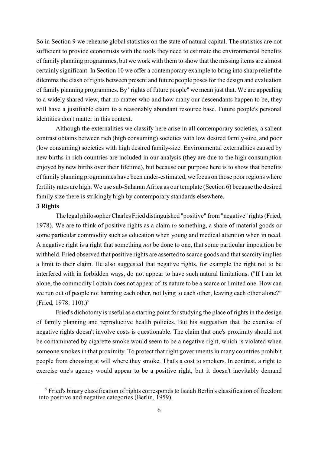So in Section 9 we rehearse global statistics on the state of natural capital. The statistics are not sufficient to provide economists with the tools they need to estimate the environmental benefits of family planning programmes, but we work with them to show that the missing items are almost certainly significant. In Section 10 we offer a contemporary example to bring into sharp relief the dilemma the clash of rights between present and future people poses for the design and evaluation of family planning programmes. By "rights of future people" we mean just that. We are appealing to a widely shared view, that no matter who and how many our descendants happen to be, they will have a justifiable claim to a reasonably abundant resource base. Future people's personal identities don't matter in this context.

Although the externalities we classify here arise in all contemporary societies, a salient contrast obtains between rich (high consuming) societies with low desired family-size, and poor (low consuming) societies with high desired family-size. Environmental externalities caused by new births in rich countries are included in our analysis (they are due to the high consumption enjoyed by new births over their lifetime), but because our purpose here is to show that benefits of family planning programmes have been under-estimated, we focus on those poor regions where fertility rates are high. We use sub-Saharan Africa as our template (Section 6) because the desired family size there is strikingly high by contemporary standards elsewhere.

### **3 Rights**

The legal philosopher Charles Fried distinguished "positive" from "negative" rights (Fried, 1978). We are to think of positive rights as a claim *to* something, a share of material goods or some particular commodity such as education when young and medical attention when in need. A negative right is a right that something *not* be done to one, that some particular imposition be withheld. Fried observed that positive rights are asserted to scarce goods and that scarcity implies a limit to their claim. He also suggested that negative rights, for example the right not to be interfered with in forbidden ways, do not appear to have such natural limitations. ("If I am let alone, the commodity I obtain does not appear of its nature to be a scarce or limited one. How can we run out of people not harming each other, not lying to each other, leaving each other alone?" (Fried, 1978: 110).)<sup>5</sup>

Fried's dichotomy is useful as a starting point for studying the place of rights in the design of family planning and reproductive health policies. But his suggestion that the exercise of negative rights doesn't involve costs is questionable. The claim that one's proximity should not be contaminated by cigarette smoke would seem to be a negative right, which is violated when someone smokes in that proximity. To protect that right governments in many countries prohibit people from choosing at will where they smoke. That's a cost to smokers. In contrast, a right to exercise one's agency would appear to be a positive right, but it doesn't inevitably demand

<sup>&</sup>lt;sup>5</sup> Fried's binary classification of rights corresponds to Isaiah Berlin's classification of freedom into positive and negative categories (Berlin, 1959).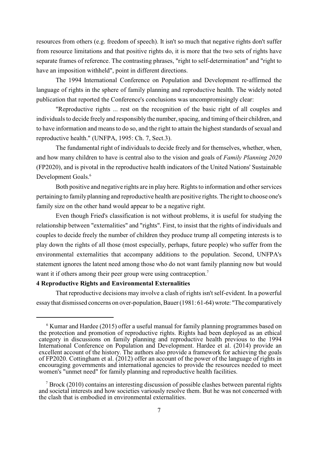resources from others (e.g. freedom of speech). It isn't so much that negative rights don't suffer from resource limitations and that positive rights do, it is more that the two sets of rights have separate frames of reference. The contrasting phrases, "right to self-determination" and "right to have an imposition withheld", point in different directions.

The 1994 International Conference on Population and Development re-affirmed the language of rights in the sphere of family planning and reproductive health. The widely noted publication that reported the Conference's conclusions was uncompromisingly clear:

"Reproductive rights ... rest on the recognition of the basic right of all couples and individuals to decide freely and responsibly the number, spacing, and timing of their children, and to have information and means to do so, and the right to attain the highest standards of sexual and reproductive health." (UNFPA, 1995: Ch. 7, Sect.3).

The fundamental right of individuals to decide freely and for themselves, whether, when, and how many children to have is central also to the vision and goals of *Family Planning 2020* (FP2020), and is pivotal in the reproductive health indicators of the United Nations' Sustainable Development Goals.<sup>6</sup>

Both positive and negative rights are in play here. Rights to information and other services pertaining to family planning and reproductive health are positive rights. The right to choose one's family size on the other hand would appear to be a negative right.

Even though Fried's classification is not without problems, it is useful for studying the relationship between "externalities" and "rights". First, to insist that the rights of individuals and couples to decide freely the number of children they produce trump all competing interests is to play down the rights of all those (most especially, perhaps, future people) who suffer from the environmental externalities that accompany additions to the population. Second, UNFPA's statement ignores the latent need among those who do not want family planning now but would want it if others among their peer group were using contraception.<sup>7</sup>

## **4 Reproductive Rights and Environmental Externalities**

That reproductive decisions may involve a clash of rights isn't self-evident. In a powerful essay that dismissed concerns on over-population, Bauer (1981: 61-64) wrote: "The comparatively

 $6$  Kumar and Hardee (2015) offer a useful manual for family planning programmes based on the protection and promotion of reproductive rights. Rights had been deployed as an ethical category in discussions on family planning and reproductive health previous to the 1994 International Conference on Population and Development. Hardee et al. (2014) provide an excellent account of the history. The authors also provide a framework for achieving the goals of FP2020. Cottingham et al. (2012) offer an account of the power of the language of rights in encouraging governments and international agencies to provide the resources needed to meet women's "unmet need" for family planning and reproductive health facilities.

 $\frac{1}{2}$  Brock (2010) contains an interesting discussion of possible clashes between parental rights and societal interests and how societies variously resolve them. But he was not concerned with the clash that is embodied in environmental externalities.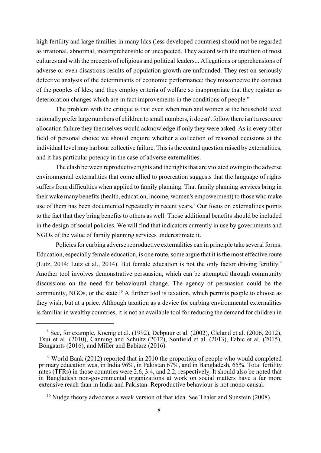high fertility and large families in many ldcs (less developed countries) should not be regarded as irrational, abnormal, incomprehensible or unexpected. They accord with the tradition of most cultures and with the precepts of religious and political leaders... Allegations or apprehensions of adverse or even disastrous results of population growth are unfounded. They rest on seriously defective analysis of the determinants of economic performance; they misconceive the conduct of the peoples of ldcs; and they employ criteria of welfare so inappropriate that they register as deterioration changes which are in fact improvements in the conditions of people."

The problem with the critique is that even when men and women at the household level rationally prefer large numbers of children to small numbers, it doesn't follow there isn't a resource allocation failure they themselves would acknowledge if only they were asked. As in every other field of personal choice we should enquire whether a collection of reasoned decisions at the individual level may harbour collective failure. This is the central question raised by externalities, and it has particular potency in the case of adverse externalities.

The clash between reproductive rights and the rights that are violated owing to the adverse environmental externalities that come allied to procreation suggests that the language of rights suffers from difficulties when applied to family planning. That family planning services bring in their wake many benefits (health, education, income, women's empowerment) to those who make use of them has been documented repeatedly in recent years.<sup>8</sup> Our focus on externalities points to the fact that they bring benefits to others as well. Those additional benefits should be included in the design of social policies. We will find that indicators currently in use by governments and NGOs of the value of family planning services underestimate it.

Policies for curbing adverse reproductive externalities can in principle take several forms. Education, especially female education, is one route, some argue that it is the most effective route (Lutz, 2014; Lutz et al., 2014). But female education is not the only factor driving fertility.<sup>9</sup> Another tool involves demonstrative persuasion, which can be attempted through community discussions on the need for behavioural change. The agency of persuasion could be the community, NGOs, or the state.<sup>10</sup> A further tool is taxation, which permits people to choose as they wish, but at a price. Although taxation as a device for curbing environmental externalities is familiar in wealthy countries, it is not an available tool for reducing the demand for children in

<sup>&</sup>lt;sup>8</sup> See, for example, Koenig et al. (1992), Debpuur et al. (2002), Cleland et al. (2006, 2012), Tsui et al. (2010), Canning and Schultz (2012), Sonfield et al. (2013), Fabic et al. (2015), Bongaarts (2016), and Miller and Babiarz (2016).

<sup>&</sup>lt;sup>9</sup> World Bank (2012) reported that in 2010 the proportion of people who would completed primary education was, in India 96%, in Pakistan 67%, and in Bangladesh, 65%. Total fertility rates (TFRs) in those countries were 2.6, 3.4, and 2.2, respectively. It should also be noted that in Bangladesh non-governmental organizations at work on social matters have a far more extensive reach than in India and Pakistan. Reproductive behaviour is not mono-causal.

 $10$  Nudge theory advocates a weak version of that idea. See Thaler and Sunstein (2008).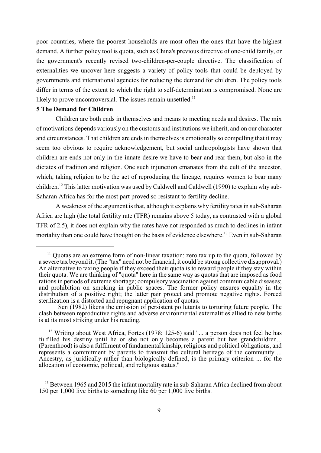poor countries, where the poorest households are most often the ones that have the highest demand. A further policy tool is quota, such as China's previous directive of one-child family, or the government's recently revised two-children-per-couple directive. The classification of externalities we uncover here suggests a variety of policy tools that could be deployed by governments and international agencies for reducing the demand for children. The policy tools differ in terms of the extent to which the right to self-determination is compromised. None are likely to prove uncontroversial. The issues remain unsettled.<sup>11</sup>

### **5 The Demand for Children**

Children are both ends in themselves and means to meeting needs and desires. The mix of motivations depends variously on the customs and institutions we inherit, and on our character and circumstances. That children are ends in themselves is emotionally so compelling that it may seem too obvious to require acknowledgement, but social anthropologists have shown that children are ends not only in the innate desire we have to bear and rear them, but also in the dictates of tradition and religion. One such injunction emanates from the cult of the ancestor, which, taking religion to be the act of reproducing the lineage, requires women to bear many children.<sup>12</sup> This latter motivation was used by Caldwell and Caldwell (1990) to explain why sub-Saharan Africa has for the most part proved so resistant to fertility decline.

A weakness of the argument is that, although it explains why fertility rates in sub-Saharan Africa are high (the total fertility rate (TFR) remains above 5 today, as contrasted with a global TFR of 2.5), it does not explain why the rates have not responded as much to declines in infant mortality than one could have thought on the basis of evidence elsewhere.<sup>13</sup> Even in sub-Saharan

 $\frac{11}{11}$  Ouotas are an extreme form of non-linear taxation: zero tax up to the quota, followed by a severe tax beyond it. (The "tax" need not be financial, it could be strong collective disapproval.) An alternative to taxing people if they exceed their quota is to reward people if they stay within their quota. We are thinking of "quota" here in the same way as quotas that are imposed as food rations in periods of extreme shortage; compulsory vaccination against communicable diseases; and prohibition on smoking in public spaces. The former policy ensures equality in the distribution of a positive right; the latter pair protect and promote negative rights. Forced sterilization is a distorted and repugnant application of quotas.

Sen (1982) likens the emission of persistent pollutants to torturing future people. The clash between reproductive rights and adverse environmental externalities allied to new births is at its most striking under his reading.

 $12$  Writing about West Africa, Fortes (1978: 125-6) said "... a person does not feel he has fulfilled his destiny until he or she not only becomes a parent but has grandchildren... (Parenthood) is also a fulfilment of fundamental kinship, religious and political obligations, and represents a commitment by parents to transmit the cultural heritage of the community ... Ancestry, as juridically rather than biologically defined, is the primary criterion ... for the allocation of economic, political, and religious status."

 $13$  Between 1965 and 2015 the infant mortality rate in sub-Saharan Africa declined from about 150 per 1,000 live births to something like 60 per 1,000 live births.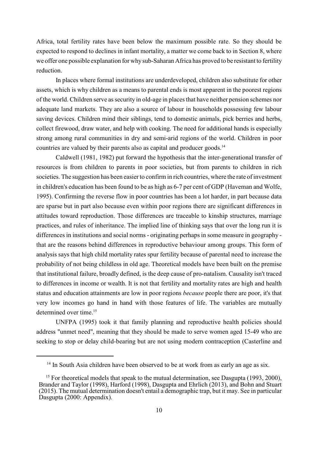Africa, total fertility rates have been below the maximum possible rate. So they should be expected to respond to declines in infant mortality, a matter we come back to in Section 8, where we offer one possible explanation for why sub-Saharan Africa has proved to be resistant to fertility reduction.

In places where formal institutions are underdeveloped, children also substitute for other assets, which is why children as a means to parental ends is most apparent in the poorest regions of the world. Children serve as security in old-age in places that have neither pension schemes nor adequate land markets. They are also a source of labour in households possessing few labour saving devices. Children mind their siblings, tend to domestic animals, pick berries and herbs, collect firewood, draw water, and help with cooking. The need for additional hands is especially strong among rural communities in dry and semi-arid regions of the world. Children in poor countries are valued by their parents also as capital and producer goods.<sup>14</sup>

Caldwell (1981, 1982) put forward the hypothesis that the inter-generational transfer of resources is from children to parents in poor societies, but from parents to children in rich societies. The suggestion has been easier to confirm in rich countries, where the rate of investment in children's education has been found to be as high as 6-7 per cent of GDP (Haveman and Wolfe, 1995). Confirming the reverse flow in poor countries has been a lot harder, in part because data are sparse but in part also because even within poor regions there are significant differences in attitudes toward reproduction. Those differences are traceable to kinship structures, marriage practices, and rules of inheritance. The implied line of thinking says that over the long run it is differences in institutions and social norms - originating perhaps in some measure in geography that are the reasons behind differences in reproductive behaviour among groups. This form of analysis says that high child mortality rates spur fertility because of parental need to increase the probability of not being childless in old age. Theoretical models have been built on the premise that institutional failure, broadly defined, is the deep cause of pro-natalism. Causality isn't traced to differences in income or wealth. It is not that fertility and mortality rates are high and health status and education attainments are low in poor regions *because* people there are poor, it's that very low incomes go hand in hand with those features of life. The variables are mutually determined over time.<sup>15</sup>

UNFPA (1995) took it that family planning and reproductive health policies should address "unmet need", meaning that they should be made to serve women aged 15-49 who are seeking to stop or delay child-bearing but are not using modern contraception (Casterline and

 $14$  In South Asia children have been observed to be at work from as early an age as six.

<sup>&</sup>lt;sup>15</sup> For theoretical models that speak to the mutual determination, see Dasgupta (1993, 2000), Brander and Taylor (1998), Harford (1998), Dasgupta and Ehrlich (2013), and Bohn and Stuart (2015). The mutual determination doesn't entail a demographic trap, but it may. See in particular Dasgupta (2000: Appendix).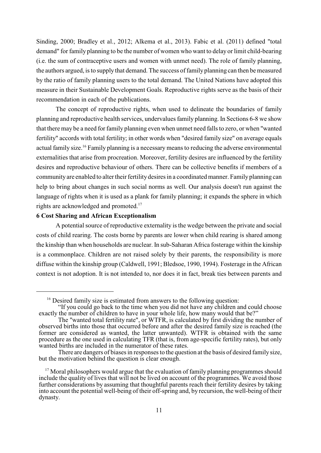Sinding, 2000; Bradley et al., 2012; Alkema et al., 2013). Fabic et al. (2011) defined "total demand" for family planning to be the number of women who want to delay or limit child-bearing (i.e. the sum of contraceptive users and women with unmet need). The role of family planning, the authors argued, is to supply that demand. The success of family planning can then be measured by the ratio of family planning users to the total demand. The United Nations have adopted this measure in their Sustainable Development Goals. Reproductive rights serve as the basis of their recommendation in each of the publications.

The concept of reproductive rights, when used to delineate the boundaries of family planning and reproductive health services, undervalues family planning. In Sections 6-8 we show that there may be a need for family planning even when unmet need falls to zero, or when "wanted fertility" accords with total fertility; in other words when "desired family size" on average equals actual family size.<sup>16</sup> Family planning is a necessary means to reducing the adverse environmental externalities that arise from procreation. Moreover, fertility desires are influenced by the fertility desires and reproductive behaviour of others. There can be collective benefits if members of a community are enabled to alter their fertility desires in a coordinated manner. Family planning can help to bring about changes in such social norms as well. Our analysis doesn't run against the language of rights when it is used as a plank for family planning; it expands the sphere in which rights are acknowledged and promoted.<sup>17</sup>

### **6 Cost Sharing and African Exceptionalism**

A potential source of reproductive externality is the wedge between the private and social costs of child rearing. The costs borne by parents are lower when child rearing is shared among the kinship than when households are nuclear. In sub-Saharan Africa fosterage within the kinship is a commonplace. Children are not raised solely by their parents, the responsibility is more diffuse within the kinship group (Caldwell, 1991; Bledsoe, 1990, 1994). Fosterage in the African context is not adoption. It is not intended to, nor does it in fact, break ties between parents and

 $16$  Desired family size is estimated from answers to the following question:

<sup>&</sup>quot;If you could go back to the time when you did not have any children and could choose exactly the number of children to have in your whole life, how many would that be?"

The "wanted total fertility rate", or WTFR, is calculated by first dividing the number of observed births into those that occurred before and after the desired family size is reached (the former are considered as wanted, the latter unwanted). WTFR is obtained with the same procedure as the one used in calculating TFR (that is, from age-specific fertility rates), but only wanted births are included in the numerator of these rates.

There are dangers of biases in responses to the question at the basis of desired family size, but the motivation behind the question is clear enough.

 $17$  Moral philosophers would argue that the evaluation of family planning programmes should include the quality of lives that will not be lived on account of the programmes. We avoid those further considerations by assuming that thoughtful parents reach their fertility desires by taking into account the potential well-being of their off-spring and, by recursion, the well-being of their dynasty.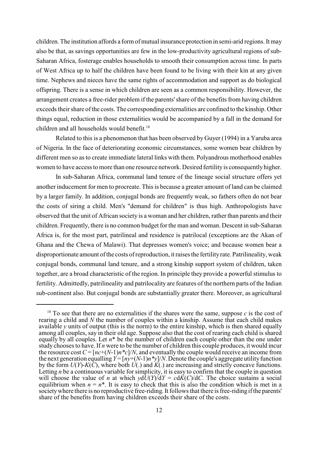children. The institution affords a form of mutual insurance protection in semi-arid regions. It may also be that, as savings opportunities are few in the low-productivity agricultural regions of sub-Saharan Africa, fosterage enables households to smooth their consumption across time. In parts of West Africa up to half the children have been found to be living with their kin at any given time. Nephews and nieces have the same rights of accommodation and support as do biological offspring. There is a sense in which children are seen as a common responsibility. However, the arrangement creates a free-rider problem if the parents'share of the benefits from having children exceeds their share of the costs. The corresponding externalities are confined to the kinship. Other things equal, reduction in those externalities would be accompanied by a fall in the demand for children and all households would benefit.<sup>18</sup>

Related to this is a phenomenon that has been observed by Guyer (1994) in a Yaruba area of Nigeria. In the face of deteriorating economic circumstances, some women bear children by different men so as to create immediate lateral links with them. Polyandrous motherhood enables women to have access to more than one resource network. Desired fertility is consequently higher.

In sub-Saharan Africa, communal land tenure of the lineage social structure offers yet another inducement for men to procreate. This is because a greater amount of land can be claimed by a larger family. In addition, conjugal bonds are frequently weak, so fathers often do not bear the costs of siring a child. Men's "demand for children" is thus high. Anthropologists have observed that the unit of African society is a woman and her children, rather than parents and their children. Frequently, there is no common budget for the man and woman. Descent in sub-Saharan Africa is, for the most part, patrilineal and residence is patrilocal (exceptions are the Akan of Ghana and the Chewa of Malawi). That depresses women's voice; and because women bear a disproportionate amount of the costs of reproduction, it raises the fertility rate. Patrilineality, weak conjugal bonds, communal land tenure, and a strong kinship support system of children, taken together, are a broad characteristic of the region. In principle they provide a powerful stimulus to fertility. Admittedly, patrilineality and patrilocality are features of the northern parts of the Indian sub-continent also. But conjugal bonds are substantially greater there. Moreover, as agricultural

<sup>&</sup>lt;sup>18</sup> To see that there are no externalities if the shares were the same, suppose  $c$  is the cost of rearing a child and *N* the number of couples within a kinship. Assume that each child makes available  $\nu$  units of output (this is the norm) to the entire kinship, which is then shared equally among all couples, say in their old age. Suppose also that the cost of rearing each child is shared equally by all couples. Let  $n^*$  be the number of children each couple other than the one under study chooses to have. If *n* were to be the number of children this couple produces, it would incur the resource cost  $C = [nc+(N-1)n * c]/N$ , and eventually the couple would receive an income from the next generation equalling *Y* = [*ny*+(*N*-1)*n\*y*]/*N*. Denote the couple's aggregate utility function by the form *U*(*Y*)-*K*(*C*), where both *U*(.) and *K*(.) are increasing and strictly concave functions. Letting *n* be a continuous variable for simplicity, it is easy to confirm that the couple in question will choose the value of *n* at which  $y dU(Y)/dY = c dK(C)/dC$ . The choice sustains a social equilibrium when  $n = n^*$ . It is easy to check that this is also the condition which is met in a society where there is no reproductive free-riding. It follows that there is free-riding if the parents' share of the benefits from having children exceeds their share of the costs.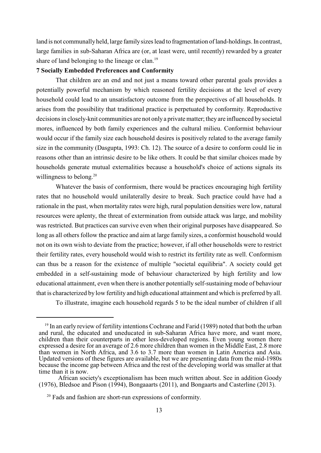land is not communally held, large family sizes lead to fragmentation of land-holdings. In contrast, large families in sub-Saharan Africa are (or, at least were, until recently) rewarded by a greater share of land belonging to the lineage or clan.<sup>19</sup>

### **7 Socially Embedded Preferences and Conformity**

That children are an end and not just a means toward other parental goals provides a potentially powerful mechanism by which reasoned fertility decisions at the level of every household could lead to an unsatisfactory outcome from the perspectives of all households. It arises from the possibility that traditional practice is perpetuated by conformity. Reproductive decisions in closely-knit communities are not only a private matter; they are influenced by societal mores, influenced by both family experiences and the cultural milieu. Conformist behaviour would occur if the family size each household desires is positively related to the average family size in the community (Dasgupta, 1993: Ch. 12). The source of a desire to conform could lie in reasons other than an intrinsic desire to be like others. It could be that similar choices made by households generate mutual externalities because a household's choice of actions signals its willingness to belong. $20$ 

Whatever the basis of conformism, there would be practices encouraging high fertility rates that no household would unilaterally desire to break. Such practice could have had a rationale in the past, when mortality rates were high, rural population densities were low, natural resources were aplenty, the threat of extermination from outside attack was large, and mobility was restricted. But practices can survive even when their original purposes have disappeared. So long as all others follow the practice and aim at large family sizes, a conformist household would not on its own wish to deviate from the practice; however, if all other households were to restrict their fertility rates, every household would wish to restrict its fertility rate as well. Conformism can thus be a reason for the existence of multiple "societal equilibria". A society could get embedded in a self-sustaining mode of behaviour characterized by high fertility and low educational attainment, even when there is another potentially self-sustaining mode of behaviour that is characterized by low fertility and high educational attainment and which is preferred by all.

To illustrate, imagine each household regards 5 to be the ideal number of children if all

 $19$  In an early review of fertility intentions Cochrane and Farid (1989) noted that both the urban and rural, the educated and uneducated in sub-Saharan Africa have more, and want more, children than their counterparts in other less-developed regions. Even young women there expressed a desire for an average of 2.6 more children than women in the Middle East, 2.8 more than women in North Africa, and 3.6 to 3.7 more than women in Latin America and Asia. Updated versions of these figures are available, but we are presenting data from the mid-1980s because the income gap between Africa and the rest of the developing world was smaller at that time than it is now.

African society's exceptionalism has been much written about. See in addition Goody (1976), Bledsoe and Pison (1994), Bongaaarts (2011), and Bongaarts and Casterline (2013).

<sup>&</sup>lt;sup>20</sup> Fads and fashion are short-run expressions of conformity.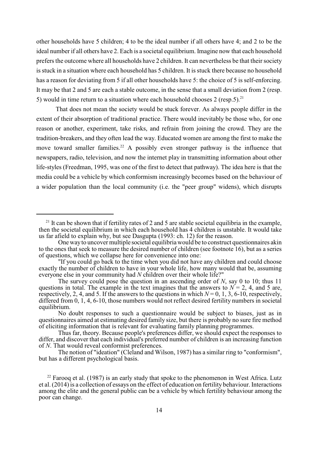other households have 5 children; 4 to be the ideal number if all others have 4; and 2 to be the ideal number if all others have 2. Each is a societal equilibrium. Imagine now that each household prefers the outcome where all households have 2 children. It can nevertheless be that their society is stuck in a situation where each household has 5 children. It is stuck there because no household has a reason for deviating from 5 if all other households have 5: the choice of 5 is self-enforcing. It may be that 2 and 5 are each a stable outcome, in the sense that a small deviation from 2 (resp. 5) would in time return to a situation where each household chooses 2 (resp.5).<sup>21</sup>

That does not mean the society would be stuck forever. As always people differ in the extent of their absorption of traditional practice. There would inevitably be those who, for one reason or another, experiment, take risks, and refrain from joining the crowd. They are the tradition-breakers, and they often lead the way. Educated women are among the first to make the move toward smaller families.<sup>22</sup> A possibly even stronger pathway is the influence that newspapers, radio, television, and now the internet play in transmitting information about other life-styles (Freedman, 1995, was one of the first to detect that pathway). The idea here is that the media could be a vehicle by which conformism increasingly becomes based on the behaviour of a wider population than the local community (i.e. the "peer group" widens), which disrupts

<sup>&</sup>lt;sup>21</sup> It can be shown that if fertility rates of 2 and 5 are stable societal equilibria in the example, then the societal equilibrium in which each household has 4 children is unstable. It would take us far afield to explain why, but see Dasgupta (1993: ch. 12) for the reason.

One way to uncover multiple societal equilibria would be to construct questionnaires akin to the ones that seek to measure the desired number of children (see footnote 16), but as a series of questions, which we collapse here for convenience into one:

<sup>&</sup>quot;If you could go back to the time when you did not have any children and could choose exactly the number of children to have in your whole life, how many would that be, assuming everyone else in your community had *N* children over their whole life?"

The survey could pose the question in an ascending order of *N*, say 0 to 10; thus 11 questions in total. The example in the text imagines that the answers to  $N = 2$ , 4, and 5 are, respectively, 2, 4, and 5. If the answers to the questions in which  $N = 0, 1, 3, 6-10$ , respectively, differed from 0, 1, 4, 6-10, those numbers would not reflect desired fertility numbers in societal equilibrium.

No doubt responses to such a questionnaire would be subject to biases, just as in questionnaires aimed at estimating desired family size, but there is probably no sure fire method of eliciting information that is relevant for evaluating family planning programmes.

Thus far, theory. Because people's preferences differ, we should expect the responses to differ, and discover that each individual's preferred number of children is an increasing function of *N*. That would reveal conformist preferences.

The notion of "ideation" (Cleland and Wilson, 1987) has a similar ring to "conformism", but has a different psychological basis.

 $22$  Farooq et al. (1987) is an early study that spoke to the phenomenon in West Africa. Lutz et al. (2014) is a collection of essays on the effect of education on fertility behaviour. Interactions among the elite and the general public can be a vehicle by which fertility behaviour among the poor can change.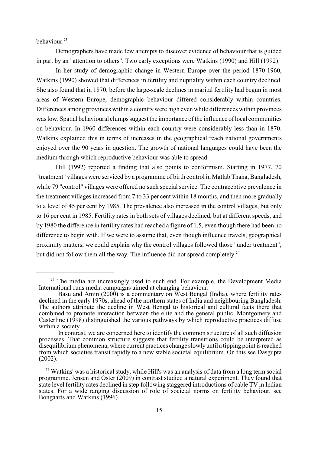behaviour. 23

Demographers have made few attempts to discover evidence of behaviour that is guided in part by an "attention to others". Two early exceptions were Watkins (1990) and Hill (1992):

In her study of demographic change in Western Europe over the period 1870-1960, Watkins (1990) showed that differences in fertility and nuptiality within each country declined. She also found that in 1870, before the large-scale declines in marital fertility had begun in most areas of Western Europe, demographic behaviour differed considerably within countries. Differences among provinces within a country were high even while differences within provinces was low. Spatial behavioural clumps suggest the importance of the influence of local communities on behaviour. In 1960 differences within each country were considerably less than in 1870. Watkins explained this in terms of increases in the geographical reach national governments enjoyed over the 90 years in question. The growth of national languages could have been the medium through which reproductive behaviour was able to spread.

Hill (1992) reported a finding that also points to conformism. Starting in 1977, 70 "treatment" villages were serviced by a programme of birth control in Matlab Thana, Bangladesh, while 79 "control" villages were offered no such special service. The contraceptive prevalence in the treatment villages increased from 7 to 33 per cent within 18 months, and then more gradually to a level of 45 per cent by 1985. The prevalence also increased in the control villages, but only to 16 per cent in 1985. Fertility rates in both sets of villages declined, but at different speeds, and by 1980 the difference in fertility rates had reached a figure of 1.5, even though there had been no difference to begin with. If we were to assume that, even though influence travels, geographical proximity matters, we could explain why the control villages followed those "under treatment", but did not follow them all the way. The influence did not spread completely.<sup>24</sup>

 $23$  The media are increasingly used to such end. For example, the Development Media International runs media campaigns aimed at changing behaviour.

Basu and Amin (2000) is a commentary on West Bengal (India), where fertility rates declined in the early 1970s, ahead of the northern states of India and neighbouring Bangladesh. The authors attribute the decline in West Bengal to historical and cultural facts there that combined to promote interaction between the elite and the general public. Montgomery and Casterline (1998) distinguished the various pathways by which reproductive practices diffuse within a society.

In contrast, we are concerned here to identify the common structure of all such diffusion processes. That common structure suggests that fertility transitions could be interpreted as disequilibrium phenomena, where current practices change slowly until a tipping point is reached from which societies transit rapidly to a new stable societal equilibrium. On this see Dasgupta (2002).

<sup>&</sup>lt;sup>24</sup> Watkins' was a historical study, while Hill's was an analysis of data from a long term social programme. Jensen and Oster (2009) in contrast studied a natural experiment. They found that state level fertility rates declined in step following staggered introductions of cable TV in Indian states. For a wide ranging discussion of role of societal norms on fertility behaviour, see Bongaarts and Watkins (1996).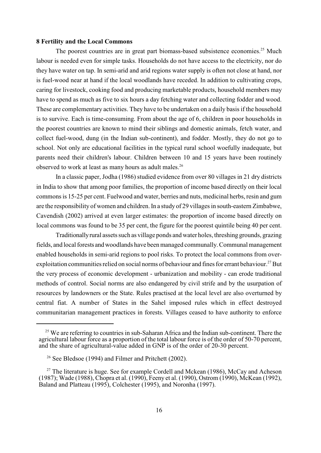### **8 Fertility and the Local Commons**

The poorest countries are in great part biomass-based subsistence economies.<sup>25</sup> Much labour is needed even for simple tasks. Households do not have access to the electricity, nor do they have water on tap. In semi-arid and arid regions water supply is often not close at hand, nor is fuel-wood near at hand if the local woodlands have receded. In addition to cultivating crops, caring for livestock, cooking food and producing marketable products, household members may have to spend as much as five to six hours a day fetching water and collecting fodder and wood. These are complementary activities. They have to be undertaken on a daily basis if the household is to survive. Each is time-consuming. From about the age of 6, children in poor households in the poorest countries are known to mind their siblings and domestic animals, fetch water, and collect fuel-wood, dung (in the Indian sub-continent), and fodder. Mostly, they do not go to school. Not only are educational facilities in the typical rural school woefully inadequate, but parents need their children's labour. Children between 10 and 15 years have been routinely observed to work at least as many hours as adult males.<sup>26</sup>

In a classic paper, Jodha (1986) studied evidence from over 80 villages in 21 dry districts in India to show that among poor families, the proportion of income based directly on their local commons is 15-25 per cent. Fuelwood and water, berries and nuts, medicinal herbs, resin and gum are the responsibility of women and children. In a study of 29 villages in south-eastern Zimbabwe, Cavendish (2002) arrived at even larger estimates: the proportion of income based directly on local commons was found to be 35 per cent, the figure for the poorest quintile being 40 per cent.

Traditionally rural assets such as village ponds and water holes, threshing grounds, grazing fields, and local forests and woodlands have been managed communally. Communal management enabled households in semi-arid regions to pool risks. To protect the local commons from overexploitation communities relied on social norms of behaviour and fines for errant behaviour.<sup>27</sup> But the very process of economic development - urbanization and mobility - can erode traditional methods of control. Social norms are also endangered by civil strife and by the usurpation of resources by landowners or the State. Rules practised at the local level are also overturned by central fiat. A number of States in the Sahel imposed rules which in effect destroyed communitarian management practices in forests. Villages ceased to have authority to enforce

 $25$  We are referring to countries in sub-Saharan Africa and the Indian sub-continent. There the agricultural labour force as a proportion of the total labour force is of the order of 50-70 percent, and the share of agricultural-value added in GNP is of the order of 20-30 percent.

<sup>&</sup>lt;sup>26</sup> See Bledsoe (1994) and Filmer and Pritchett (2002).

<sup>&</sup>lt;sup>27</sup> The literature is huge. See for example Cordell and Mckean (1986), McCay and Acheson (1987); Wade (1988), Chopra et al. (1990), Feeny et al. (1990), Ostrom (1990), McKean (1992), Baland and Platteau (1995), Colchester (1995), and Noronha (1997).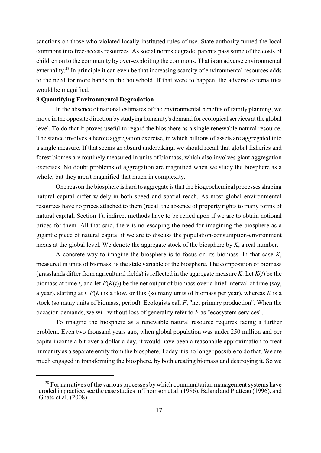sanctions on those who violated locally-instituted rules of use. State authority turned the local commons into free-access resources. As social norms degrade, parents pass some of the costs of children on to the community by over-exploiting the commons. That is an adverse environmental externality.<sup>28</sup> In principle it can even be that increasing scarcity of environmental resources adds to the need for more hands in the household. If that were to happen, the adverse externalities would be magnified.

### **9 Quantifying Environmental Degradation**

In the absence of national estimates of the environmental benefits of family planning, we move in the opposite direction by studying humanity's demand for ecological services at the global level. To do that it proves useful to regard the biosphere as a single renewable natural resource. The stance involves a heroic aggregation exercise, in which billions of assets are aggregated into a single measure. If that seems an absurd undertaking, we should recall that global fisheries and forest biomes are routinely measured in units of biomass, which also involves giant aggregation exercises. No doubt problems of aggregation are magnified when we study the biosphere as a whole, but they aren't magnified that much in complexity.

One reason the biosphere is hard to aggregate is that the biogeochemical processes shaping natural capital differ widely in both speed and spatial reach. As most global environmental resources have no prices attached to them (recall the absence of property rights to many forms of natural capital; Section 1), indirect methods have to be relied upon if we are to obtain notional prices for them. All that said, there is no escaping the need for imagining the biosphere as a gigantic piece of natural capital if we are to discuss the population-consumption-environment nexus at the global level. We denote the aggregate stock of the biosphere by *K*, a real number.

A concrete way to imagine the biosphere is to focus on its biomass. In that case *K*, measured in units of biomass, is the state variable of the biosphere. The composition of biomass (grasslands differ from agricultural fields) is reflected in the aggregate measure *K*. Let *K*(*t*) be the biomass at time *t*, and let  $F(K(t))$  be the net output of biomass over a brief interval of time (say, a year), starting at *t*. *F*(*K*) is a flow, or flux (so many units of biomass per year), whereas *K* is a stock (so many units of biomass, period). Ecologists call *F*, "net primary production". When the occasion demands, we will without loss of generality refer to *F* as "ecosystem services".

To imagine the biosphere as a renewable natural resource requires facing a further problem. Even two thousand years ago, when global population was under 250 million and per capita income a bit over a dollar a day, it would have been a reasonable approximation to treat humanity as a separate entity from the biosphere. Today it is no longer possible to do that. We are much engaged in transforming the biosphere, by both creating biomass and destroying it. So we

 $28$  For narratives of the various processes by which communitarian management systems have eroded in practice, see the case studies in Thomson et al. (1986), Baland and Platteau (1996), and Ghate et al. (2008).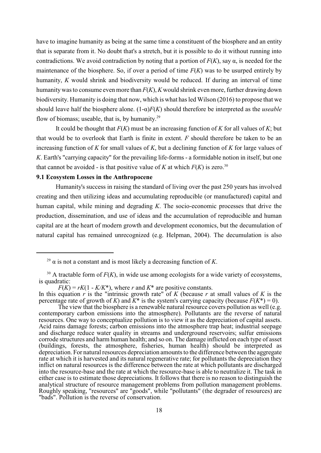have to imagine humanity as being at the same time a constituent of the biosphere and an entity that is separate from it. No doubt that's a stretch, but it is possible to do it without running into contradictions. We avoid contradiction by noting that a portion of  $F(K)$ , say  $\alpha$ , is needed for the maintenance of the biosphere. So, if over a period of time  $F(K)$  was to be usurped entirely by humanity, *K* would shrink and biodiversity would be reduced. If during an interval of time humanitywas to consume even more than *F*(*K*), *K* would shrink even more, further drawing down biodiversity. Humanity is doing that now, which is what has led Wilson (2016) to propose that we should leave half the biosphere alone.  $(1-\alpha)F(K)$  should therefore be interpreted as the *useable* flow of biomass; useable, that is, by humanity.<sup>29</sup>

It could be thought that *F*(*K*) must be an increasing function of *K* for all values of *K*; but that would be to overlook that Earth is finite in extent. *F* should therefore be taken to be an increasing function of *K* for small values of *K*, but a declining function of *K* for large values of *K*. Earth's "carrying capacity" for the prevailing life-forms - a formidable notion in itself, but one that cannot be avoided - is that positive value of *K* at which  $F(K)$  is zero.<sup>30</sup>

### **9.1 Ecosystem Losses in the Anthropocene**

Humanity's success in raising the standard of living over the past 250 years has involved creating and then utilizing ideas and accumulating reproducible (or manufactured) capital and human capital, while mining and degrading *K*. The socio-economic processes that drive the production, dissemination, and use of ideas and the accumulation of reproducible and human capital are at the heart of modern growth and development economics, but the decumulation of natural capital has remained unrecognized (e.g. Helpman, 2004). The decumulation is also

<sup>&</sup>lt;sup>29</sup>  $\alpha$  is not a constant and is most likely a decreasing function of *K*.

 $30$  A tractable form of  $F(K)$ , in wide use among ecologists for a wide variety of ecosystems, is quadratic:

 $F(K) = rK(1 - K/K^*)$ , where *r* and  $K^*$  are positive constants.

In this equation  $\hat{r}$  is the "intrinsic growth rate" of *K* (because  $\hat{r}$  at small values of *K* is the percentage rate of growth of *K*) and  $\overline{K^*}$  is the system's carrying capacity (because  $F(K^*) = 0$ ).

The view that the biosphere is a renewable natural resource covers pollution as well (e.g. contemporary carbon emissions into the atmosphere). Pollutants are the reverse of natural resources. One way to conceptualize pollution is to view it as the depreciation of capital assets. Acid rains damage forests; carbon emissions into the atmosphere trap heat; industrial seepage and discharge reduce water quality in streams and underground reservoirs; sulfur emissions corrode structures and harm human health; and so on. The damage inflicted on each type of asset (buildings, forests, the atmosphere, fisheries, human health) should be interpreted as depreciation. For natural resources depreciation amounts to the difference between the aggregate rate at which it is harvested and its natural regenerative rate; for pollutants the depreciation they inflict on natural resources is the difference between the rate at which pollutants are discharged into the resource-base and the rate at which the resource-base is able to neutralize it. The task in either case is to estimate those depreciations. It follows that there is no reason to distinguish the analytical structure of resource management problems from pollution management problems. Roughly speaking, "resources" are "goods", while "pollutants" (the degrader of resources) are "bads". Pollution is the reverse of conservation.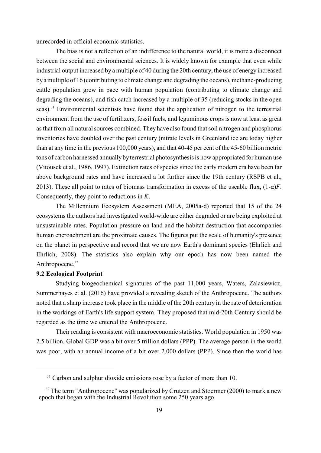unrecorded in official economic statistics.

The bias is not a reflection of an indifference to the natural world, it is more a disconnect between the social and environmental sciences. It is widely known for example that even while industrial output increased by a multiple of 40 during the 20th century, the use of energy increased by a multiple of 16 (contributing to climate change and degrading the oceans), methane-producing cattle population grew in pace with human population (contributing to climate change and degrading the oceans), and fish catch increased by a multiple of 35 (reducing stocks in the open seas).<sup>31</sup> Environmental scientists have found that the application of nitrogen to the terrestrial environment from the use of fertilizers, fossil fuels, and leguminous crops is now at least as great as that from all natural sources combined. They have also found that soil nitrogen and phosphorus inventories have doubled over the past century (nitrate levels in Greenland ice are today higher than at any time in the previous 100,000 years), and that 40-45 per cent of the 45-60 billion metric tons of carbon harnessed annually by terrestrial photosynthesis is now appropriated for human use (Vitousek et al., 1986, 1997). Extinction rates of species since the early modern era have been far above background rates and have increased a lot further since the 19th century (RSPB et al., 2013). These all point to rates of biomass transformation in excess of the useable flux,  $(1-\alpha)F$ . Consequently, they point to reductions in *K*.

The Millennium Ecosystem Assessment (MEA, 2005a-d) reported that 15 of the 24 ecosystems the authors had investigated world-wide are either degraded or are being exploited at unsustainable rates. Population pressure on land and the habitat destruction that accompanies human encroachment are the proximate causes. The figures put the scale of humanity's presence on the planet in perspective and record that we are now Earth's dominant species (Ehrlich and Ehrlich, 2008). The statistics also explain why our epoch has now been named the Anthropocene.<sup>32</sup>

# **9.2 Ecological Footprint**

Studying biogeochemical signatures of the past 11,000 years, Waters, Zalasiewicz, Summerhayes et al. (2016) have provided a revealing sketch of the Anthropocene. The authors noted that a sharp increase took place in the middle of the 20th century in the rate of deterioration in the workings of Earth's life support system. They proposed that mid-20th Century should be regarded as the time we entered the Anthropocene.

Their reading is consistent with macroeconomic statistics. World population in 1950 was 2.5 billion. Global GDP was a bit over 5 trillion dollars (PPP). The average person in the world was poor, with an annual income of a bit over 2,000 dollars (PPP). Since then the world has

 $31$  Carbon and sulphur dioxide emissions rose by a factor of more than 10.

 $32$  The term "Anthropocene" was popularized by Crutzen and Stoermer (2000) to mark a new epoch that began with the Industrial Revolution some 250 years ago.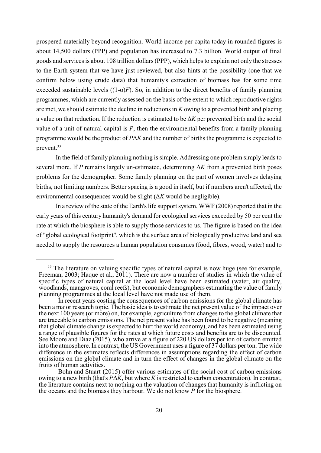prospered materially beyond recognition. World income per capita today in rounded figures is about 14,500 dollars (PPP) and population has increased to 7.3 billion. World output of final goods and services is about 108 trillion dollars (PPP), which helps to explain not only the stresses to the Earth system that we have just reviewed, but also hints at the possibility (one that we confirm below using crude data) that humanity's extraction of biomass has for some time exceeded sustainable levels  $((1-\alpha)F)$ . So, in addition to the direct benefits of family planning programmes, which are currently assessed on the basis of the extent to which reproductive rights are met, we should estimate the decline in reductions in *K* owing to a prevented birth and placing a value on that reduction. If the reduction is estimated to be  $\Delta K$  per prevented birth and the social value of a unit of natural capital is *P*, then the environmental benefits from a family planning programme would be the product of *P* $\Delta K$  and the number of births the programme is expected to prevent.<sup>33</sup>

In the field of family planning nothing is simple. Addressing one problem simply leads to several more. If  $P$  remains largely un-estimated, determining  $\Delta K$  from a prevented birth poses problems for the demographer. Some family planning on the part of women involves delaying births, not limiting numbers. Better spacing is a good in itself, but if numbers aren't affected, the environmental consequences would be slight  $(\Delta K)$  would be negligible).

In a review of the state of the Earth's life support system, WWF (2008) reported that in the early years of this century humanity's demand for ecological services exceeded by 50 per cent the rate at which the biosphere is able to supply those services to us. The figure is based on the idea of "global ecological footprint", which is the surface area of biologically productive land and sea needed to supply the resources a human population consumes (food, fibres, wood, water) and to

 $33$  The literature on valuing specific types of natural capital is now huge (see for example, Freeman, 2003; Haque et al., 2011). There are now a number of studies in which the value of specific types of natural capital at the local level have been estimated (water, air quality, woodlands, mangroves, coral reefs), but economic demographers estimating the value of family planning programmes at the local level have not made use of them.

In recent years costing the consequences of carbon emissions for the global climate has been a major research topic. The basic idea is to estimate the net present value of the impact over the next 100 years (or more) on, for example, agriculture from changes to the global climate that are traceable to carbon emissions. The net present value has been found to be negative (meaning that global climate change is expected to hurt the world economy), and has been estimated using a range of plausible figures for the rates at which future costs and benefits are to be discounted. See Moore and Diaz (2015), who arrive at a figure of 220 US dollars per ton of carbon emitted into the atmosphere. In contrast, the US Government uses a figure of 37 dollars per ton. The wide difference in the estimates reflects differences in assumptions regarding the effect of carbon emissions on the global climate and in turn the effect of changes in the global climate on the fruits of human activities.

Bohn and Stuart (2015) offer various estimates of the social cost of carbon emissions owing to a new birth (that's  $P\Delta K$ , but where K is restricted to carbon concentration). In contrast, the literature contains next to nothing on the valuation of changes that humanity is inflicting on the oceans and the biomass they harbour. We do not know *P* for the biosphere.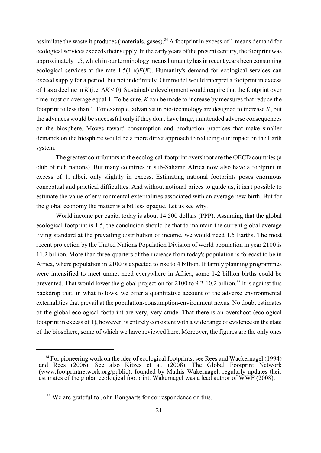assimilate the waste it produces (materials, gases).<sup>34</sup> A footprint in excess of 1 means demand for ecological services exceeds their supply. In the earlyyears of the present century, the footprint was approximately 1.5, which in our terminology means humanity has in recent years been consuming ecological services at the rate  $1.5(1-\alpha)F(K)$ . Humanity's demand for ecological services can exceed supply for a period, but not indefinitely. Our model would interpret a footprint in excess of 1 as a decline in  $K$  (i.e.  $\Delta K$  < 0). Sustainable development would require that the footprint over time must on average equal 1. To be sure, *K* can be made to increase by measures that reduce the footprint to less than 1. For example, advances in bio-technology are designed to increase *K*, but the advances would be successful only if they don't have large, unintended adverse consequences on the biosphere. Moves toward consumption and production practices that make smaller demands on the biosphere would be a more direct approach to reducing our impact on the Earth system.

The greatest contributors to the ecological-footprint overshoot are the OECD countries (a club of rich nations). But many countries in sub-Saharan Africa now also have a footprint in excess of 1, albeit only slightly in excess. Estimating national footprints poses enormous conceptual and practical difficulties. And without notional prices to guide us, it isn't possible to estimate the value of environmental externalities associated with an average new birth. But for the global economy the matter is a bit less opaque. Let us see why.

World income per capita today is about 14,500 dollars (PPP). Assuming that the global ecological footprint is 1.5, the conclusion should be that to maintain the current global average living standard at the prevailing distribution of income, we would need 1.5 Earths. The most recent projection by the United Nations Population Division of world population in year 2100 is 11.2 billion. More than three-quarters of the increase from today's population is forecast to be in Africa, where population in 2100 is expected to rise to 4 billion. If family planning programmes were intensified to meet unmet need everywhere in Africa, some 1-2 billion births could be prevented. That would lower the global projection for  $2100$  to  $9.2$ -10.2 billion.<sup>35</sup> It is against this backdrop that, in what follows, we offer a quantitative account of the adverse environmental externalities that prevail at the population-consumption-environment nexus. No doubt estimates of the global ecological footprint are very, very crude. That there is an overshoot (ecological footprint in excess of 1), however, is entirely consistent with a wide range of evidence on the state of the biosphere, some of which we have reviewed here. Moreover, the figures are the only ones

<sup>&</sup>lt;sup>34</sup> For pioneering work on the idea of ecological footprints, see Rees and Wackernagel (1994) and Rees (2006). See also Kitzes et al. (2008). The Global Footprint Network (www.footprintnetwork.org/public), founded by Mathis Wakernagel, regularly updates their estimates of the global ecological footprint. Wakernagel was a lead author of WWF (2008).

 $35$  We are grateful to John Bongaarts for correspondence on this.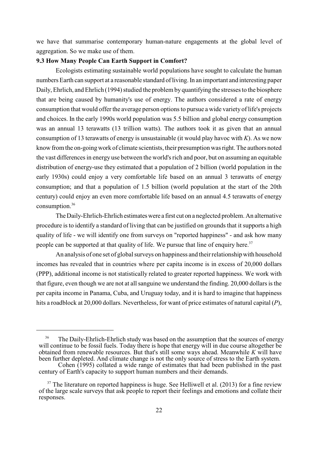we have that summarise contemporary human-nature engagements at the global level of aggregation. So we make use of them.

### **9.3 How Many People Can Earth Support in Comfort?**

Ecologists estimating sustainable world populations have sought to calculate the human numbers Earth can support at a reasonable standard of living. In an important and interesting paper Daily, Ehrlich, and Ehrlich (1994) studied the problem by quantifying the stresses to the biosphere that are being caused by humanity's use of energy. The authors considered a rate of energy consumption that would offer the average person options to pursue a wide variety of life's projects and choices. In the early 1990s world population was 5.5 billion and global energy consumption was an annual 13 terawatts (13 trillion watts). The authors took it as given that an annual consumption of 13 terawatts of energy is unsustainable (it would play havoc with *K*). As we now know from the on-going work of climate scientists, their presumption was right. The authors noted the vast differences in energy use between the world's rich and poor, but on assuming an equitable distribution of energy-use they estimated that a population of 2 billion (world population in the early 1930s) could enjoy a very comfortable life based on an annual 3 terawatts of energy consumption; and that a population of 1.5 billion (world population at the start of the 20th century) could enjoy an even more comfortable life based on an annual 4.5 terawatts of energy consumption.<sup>36</sup>

The Daily-Ehrlich-Ehrlich estimates were a first cut on a neglected problem. An alternative procedure is to identify a standard of living that can be justified on grounds that it supports a high quality of life - we will identify one from surveys on "reported happiness" - and ask how many people can be supported at that quality of life. We pursue that line of enquiry here.<sup>37</sup>

An analysis of one set of global surveys on happiness and their relationship with household incomes has revealed that in countries where per capita income is in excess of 20,000 dollars (PPP), additional income is not statistically related to greater reported happiness. We work with that figure, even though we are not at all sanguine we understand the finding. 20,000 dollars is the per capita income in Panama, Cuba, and Uruguay today, and it is hard to imagine that happiness hits a roadblock at 20,000 dollars. Nevertheless, for want of price estimates of natural capital (*P*),

<sup>&</sup>lt;sup>36</sup> The Daily-Ehrlich-Ehrlich study was based on the assumption that the sources of energy will continue to be fossil fuels. Today there is hope that energy will in due course altogether be obtained from renewable resources. But that's still some ways ahead. Meanwhile *K* will have been further depleted. And climate change is not the only source of stress to the Earth system.

Cohen (1995) collated a wide range of estimates that had been published in the past century of Earth's capacity to support human numbers and their demands.

 $37$  The literature on reported happiness is huge. See Helliwell et al. (2013) for a fine review of the large scale surveys that ask people to report their feelings and emotions and collate their responses.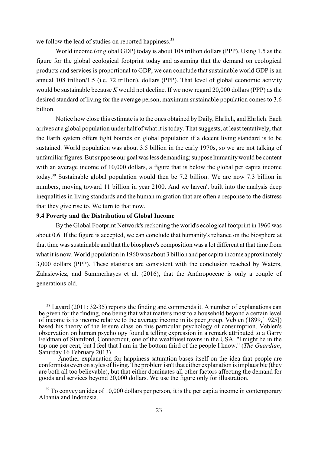we follow the lead of studies on reported happiness.<sup>38</sup>

World income (or global GDP) today is about 108 trillion dollars (PPP). Using 1.5 as the figure for the global ecological footprint today and assuming that the demand on ecological products and services is proportional to GDP, we can conclude that sustainable world GDP is an annual 108 trillion/1.5 (i.e. 72 trillion), dollars (PPP). That level of global economic activity would be sustainable because *K* would not decline. If we now regard 20,000 dollars (PPP) as the desired standard of living for the average person, maximum sustainable population comes to 3.6 billion.

Notice how close this estimate is to the ones obtained byDaily, Ehrlich, and Ehrlich. Each arrives at a global population under half of what it is today. That suggests, at least tentatively, that the Earth system offers tight bounds on global population if a decent living standard is to be sustained. World population was about 3.5 billion in the early 1970s, so we are not talking of unfamiliar figures. But suppose our goal was less demanding; suppose humanity would be content with an average income of 10,000 dollars, a figure that is below the global per capita income today.<sup>39</sup> Sustainable global population would then be 7.2 billion. We are now 7.3 billion in numbers, moving toward 11 billion in year 2100. And we haven't built into the analysis deep inequalities in living standards and the human migration that are often a response to the distress that they give rise to. We turn to that now.

### **9.4 Poverty and the Distribution of Global Income**

By the Global Footprint Network's reckoning the world's ecological footprint in 1960 was about 0.6. If the figure is accepted, we can conclude that humanity's reliance on the biosphere at that time was sustainable and that the biosphere's composition was a lot different at that time from what it is now. World population in 1960 was about 3 billion and per capita income approximately 3,000 dollars (PPP). These statistics are consistent with the conclusion reached by Waters, Zalasiewicz, and Summerhayes et al. (2016), that the Anthropocene is only a couple of generations old.

 $38$  Layard (2011: 32-35) reports the finding and commends it. A number of explanations can be given for the finding, one being that what matters most to a household beyond a certain level of income is its income relative to the average income in its peer group. Veblen (1899,[1925]) based his theory of the leisure class on this particular psychology of consumption. Veblen's observation on human psychology found a telling expression in a remark attributed to a Garry Feldman of Stamford, Connecticut, one of the wealthiest towns in the USA: "I might be in the top one per cent, but I feel that I am in the bottom third of the people I know." (*The Guardian*, Saturday 16 February 2013)

Another explanation for happiness saturation bases itself on the idea that people are conformists even on styles of living. The problem isn't that either explanation is implausible (they are both all too believable), but that either dominates all other factors affecting the demand for goods and services beyond 20,000 dollars. We use the figure only for illustration.

 $39$  To convey an idea of 10,000 dollars per person, it is the per capita income in contemporary Albania and Indonesia.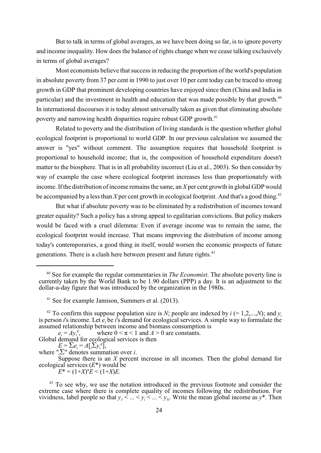But to talk in terms of global averages, as we have been doing so far, is to ignore poverty and income inequality. How does the balance of rights change when we cease talking exclusively in terms of global averages?

Most economists believe that success in reducing the proportion of the world's population in absolute poverty from 37 per cent in 1990 to just over 10 per cent today can be traced to strong growth in GDP that prominent developing countries have enjoyed since then (China and India in particular) and the investment in health and education that was made possible by that growth.<sup>40</sup> In international discourses it is today almost universally taken as given that eliminating absolute poverty and narrowing health disparities require robust GDP growth.<sup>41</sup>

Related to poverty and the distribution of living standards is the question whether global ecological footprint is proportional to world GDP. In our previous calculation we assumed the answer is "yes" without comment. The assumption requires that household footprint is proportional to household income; that is, the composition of household expenditure doesn't matter to the biosphere. That is in all probability incorrect (Liu et al., 2003). So then consider by way of example the case where ecological footprint increases less than proportionately with income. If the distribution of income remains the same, an *X* per cent growth in global GDP would be accompanied by a less than  $X$  per cent growth in ecological footprint. And that's a good thing.<sup>42</sup>

But what if absolute poverty was to be eliminated by a redistribution of incomes toward greater equality? Such a policy has a strong appeal to egalitarian convictions. But policy makers would be faced with a cruel dilemma: Even if average income was to remain the same, the ecological footprint would increase. That means improving the distribution of income among today's contemporaries, a good thing in itself, would worsen the economic prospects of future generations. There is a clash here between present and future rights.<sup>43</sup>

where  $0 \le \pi \le 1$  and  $A > 0$  are constants.  $e_i = Av_i^{\pi}$ . Global demand for ecological services is then  $E = \sum e_i = A[\sum y_i]$ ,

where " $\sum_{i}$ " denotes summation over *i*.

 $E^* = (1 + X)^{\pi} E \le (1 + X) E$ .

<sup>&</sup>lt;sup>40</sup> See for example the regular commentaries in *The Economist*. The absolute poverty line is currently taken by the World Bank to be 1.90 dollars (PPP) a day. It is an adjustment to the dollar-a-day figure that was introduced by the organization in the 1980s.

 $41$  See for example Jamison, Summers et al. (2013).

<sup>&</sup>lt;sup>42</sup> To confirm this suppose population size is *N*; people are indexed by  $i$  (= 1,2,...,*N*); and  $y_i$ as person *i* s income. Let  $e_i$  be *i* s definant for ecological services. A s<br>assumed relationship between income and biomass consumption is is person *i*'s income. Let *e* be *i*'s demand for ecological services. A simple way to formulate the

Suppose there is an *X* percent increase in all incomes. Then the global demand for ecological services (*E*\*) would be

 $43$  To see why, we use the notation introduced in the previous footnote and consider the extreme case where there is complete equality of incomes following the redistribution. For vividness, label people so that  $y_1 < ... < y_i < ... < y_w$ . Write the mean global income as  $y^*$ . Then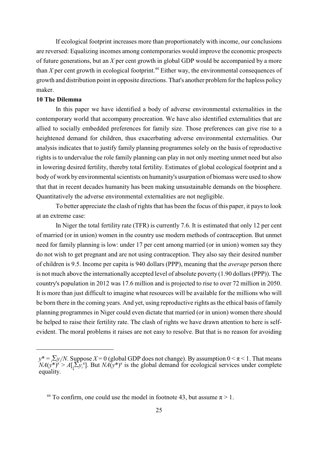If ecological footprint increases more than proportionately with income, our conclusions are reversed: Equalizing incomes among contemporaries would improve the economic prospects of future generations, but an *X* per cent growth in global GDP would be accompanied by a more than  $X$  per cent growth in ecological footprint.<sup>44</sup> Either way, the environmental consequences of growth and distribution point in opposite directions. That's another problem for the hapless policy maker.

### **10 The Dilemma**

In this paper we have identified a body of adverse environmental externalities in the contemporary world that accompany procreation. We have also identified externalities that are allied to socially embedded preferences for family size. Those preferences can give rise to a heightened demand for children, thus exacerbating adverse environmental externalities. Our analysis indicates that to justify family planning programmes solely on the basis of reproductive rights is to undervalue the role family planning can play in not only meeting unmet need but also in lowering desired fertility, thereby total fertility. Estimates of global ecological footprint and a body of work by environmental scientists on humanity's usurpation of biomass were used to show that that in recent decades humanity has been making unsustainable demands on the biosphere. Quantitatively the adverse environmental externalities are not negligible.

To better appreciate the clash of rights that has been the focus of this paper, it pays to look at an extreme case:

In Niger the total fertility rate (TFR) is currently 7.6. It is estimated that only 12 per cent of married (or in union) women in the country use modern methods of contraception. But unmet need for family planning is low: under 17 per cent among married (or in union) women say they do not wish to get pregnant and are not using contraception. They also say their desired number of children is 9.5. Income per capita is 940 dollars (PPP), meaning that the *average* person there is not much above the internationally accepted level of absolute poverty (1.90 dollars (PPP)). The country's population in 2012 was 17.6 million and is projected to rise to over 72 million in 2050. It is more than just difficult to imagine what resources will be available for the millions who will be born there in the coming years. And yet, using reproductive rights as the ethical basis of family planning programmes in Niger could even dictate that married (or in union) women there should be helped to raise their fertility rate. The clash of rights we have drawn attention to here is selfevident. The moral problems it raises are not easy to resolve. But that is no reason for avoiding

 $y^* = i \sum y_i / N$ . Suppose  $X = 0$  (global GDP does not change). By assumption  $0 \le \pi \le 1$ . That means  $NA(y^*)^{\pi} > A[\frac{1}{2}y_i^{\pi}]$ . But  $NA(y^*)^{\pi}$  is the global demand for ecological services under complete equality.

<sup>&</sup>lt;sup>44</sup> To confirm, one could use the model in footnote 43, but assume  $\pi > 1$ .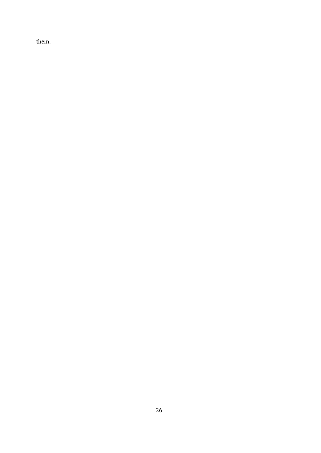them.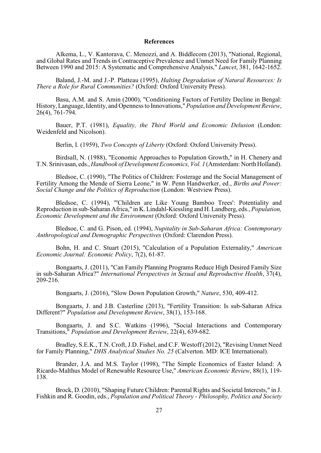#### **References**

Alkema, L., V. Kantorava, C. Menozzi, and A. Biddlecom (2013), "National, Regional, and Global Rates and Trends in Contraceptive Prevalence and Unmet Need for Family Planning Between 1990 and 2015: A Systematic and Comprehensive Analysis," *Lancet*, 381, 1642-1652.

Baland, J.-M. and J.-P. Platteau (1995), *Halting Degradation of Natural Resources: Is There a Role for Rural Communities?* (Oxford: Oxford University Press).

Basu, A.M. and S. Amin (2000), "Conditioning Factors of Fertility Decline in Bengal: History, Language, Identity, and Openness to Innovations," *Population and Development Review*, 26(4), 761-794.

Bauer, P.T. (1981), *Equality, the Third World and Economic Delusion* (London: Weidenfeld and Nicolson).

Berlin, I. (1959), *Two Concepts of Liberty* (Oxford: Oxford University Press).

Birdsall, N. (1988), "Economic Approaches to Population Growth," in H. Chenery and T.N. Srinivasan, eds., *Handbook of Development Economics, Vol. 1* (Amsterdam: North Holland).

Bledsoe, C. (1990), "The Politics of Children: Fosterage and the Social Management of Fertility Among the Mende of Sierra Leone," in W. Penn Handwerker, ed., *Births and Power: Social Change and the Politics of Reproduction* (London: Westview Press).

Bledsoe, C. (1994), "'Children are Like Young Bamboo Trees': Potentiality and Reproduction in sub-Saharan Africa," in K. Lindahl-Kiessling and H. Landberg, eds., *Population, Economic Development and the Environment* (Oxford: Oxford University Press).

Bledsoe, C. and G. Pison, ed. (1994), *Nupitality in Sub-Saharan Africa: Contemporary Anthropological and Demographic Perspectives* (Oxford: Clarendon Press).

Bohn, H. and C. Stuart (2015), "Calculation of a Population Externality," *American Economic Journal: Economic Policy*, 7(2), 61-87.

Bongaarts, J. (2011), "Can Family Planning Programs Reduce High Desired Family Size in sub-Saharan Africa?" *International Perspectives in Sexual and Reproductive Health*, 37(4), 209-216.

Bongaarts, J. (2016), "Slow Down Population Growth," *Nature*, 530, 409-412.

Bongaarts, J. and J.B. Casterline (2013), "Fertility Transition: Is sub-Saharan Africa Different?" *Population and Development Review*, 38(1), 153-168.

Bongaarts, J. and S.C. Watkins (1996), "Social Interactions and Contemporary Transitions," *Population and Development Review*, 22(4), 639-682.

Bradley, S.E.K., T.N. Croft, J.D. Fishel, and C.F. Westoff (2012), "Revising Unmet Need for Family Planning," *DHS Analytical Studies No. 25* (Calverton. MD: ICE International).

Brander, J.A. and M.S. Taylor (1998), "The Simple Economics of Easter Island: A Ricardo-Malthus Model of Renewable Resource Use," *American Economic Review*, 88(1), 119- 138.

Brock, D. (2010), "Shaping Future Children: Parental Rights and Societal Interests," in J. Fishkin and R. Goodin, eds., *Population and Political Theory* - *Philosophy, Politics and Society*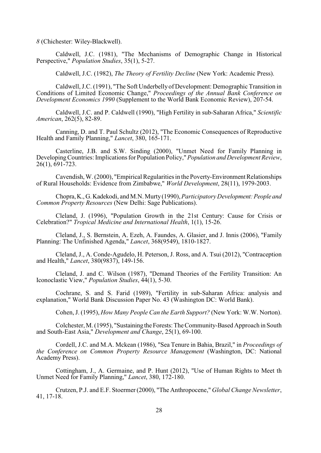*8* (Chichester: Wiley-Blackwell).

Caldwell, J.C. (1981), "The Mechanisms of Demographic Change in Historical Perspective," *Population Studies*, 35(1), 5-27.

Caldwell, J.C. (1982), *The Theory of Fertility Decline* (New York: Academic Press).

Caldwell, J.C. (1991), "The Soft Underbelly of Development: Demographic Transition in Conditions of Limited Economic Change," *Proceedings of the Annual Bank Conference on Development Economics 1990* (Supplement to the World Bank Economic Review), 207-54.

Caldwell, J.C. and P. Caldwell (1990), "High Fertility in sub-Saharan Africa," *Scientific American*, 262(5), 82-89.

Canning, D. and T. Paul Schultz (2012), "The Economic Consequences of Reproductive Health and Family Planning," *Lancet*, 380, 165-171.

Casterline, J.B. and S.W. Sinding (2000), "Unmet Need for Family Planning in Developing Countries: Implications for Population Policy," *Population and Development Review*,  $26(1), 691-723.$ 

Cavendish, W. (2000), "Empirical Regularities in the Poverty-Environment Relationships of Rural Households: Evidence from Zimbabwe," *World Development*, 28(11), 1979-2003.

Chopra, K., G. Kadekodi, and M.N. Murty (1990), *Participatory Development: People and Common Property Resources* (New Delhi: Sage Publications).

Cleland, J. (1996), "Population Growth in the 21st Century: Cause for Crisis or Celebration?" *Tropical Medicine and International Health*, 1(1), 15-26.

Cleland, J., S. Bernstein, A. Ezeh, A. Faundes, A. Glasier, and J. Innis (2006), "Family Planning: The Unfinished Agenda," *Lancet*, 368(9549), 1810-1827.

Cleland, J., A. Conde-Agudelo, H. Peterson, J. Ross, and A. Tsui (2012), "Contraception and Health," *Lancet*, 380(9837), 149-156.

Cleland, J. and C. Wilson (1987), "Demand Theories of the Fertility Transition: An Iconoclastic View," *Population Studies*, 44(1), 5-30.

Cochrane, S. and S. Farid (1989), "Fertility in sub-Saharan Africa: analysis and explanation," World Bank Discussion Paper No. 43 (Washington DC: World Bank).

Cohen, J. (1995), *How Many People Can the Earth Support?* (New York: W.W. Norton).

Colchester, M. (1995), "Sustaining the Forests: The Community-Based Approach in South and South-East Asia," *Development and Change*, 25(1), 69-100.

Cordell, J.C. and M.A. Mckean (1986), "Sea Tenure in Bahia, Brazil," in *Proceedings of the Conference on Common Property Resource Management* (Washington, DC: National Academy Press).

Cottingham, J., A. Germaine, and P. Hunt (2012), "Use of Human Rights to Meet th Unmet Need for Family Planning," *Lancet*, 380, 172-180.

Crutzen, P.J. and E.F. Stoermer (2000), "The Anthropocene," *Global Change Newsletter*, 41, 17-18.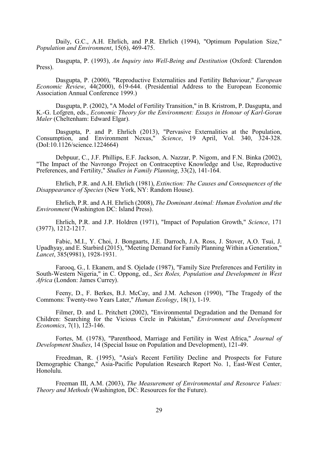Daily, G.C., A.H. Ehrlich, and P.R. Ehrlich (1994), "Optimum Population Size," *Population and Environment*, 15(6), 469-475.

Dasgupta, P. (1993), *An Inquiry into Well-Being and Destitution* (Oxford: Clarendon Press).

Dasgupta, P. (2000), "Reproductive Externalities and Fertility Behaviour," *European Economic Review*, 44(2000), 619-644. (Presidential Address to the European Economic Association Annual Conference 1999.)

Dasgupta, P. (2002), "A Model of Fertility Transition," in B. Kristrom, P. Dasgupta, and K.-G. Lofgren, eds., *Economic Theory for the Environment: Essays in Honour of Karl-Goran Maler* (Cheltenham: Edward Elgar).

Dasgupta, P. and P. Ehrlich (2013), "Pervasive Externalities at the Population, Consumption, and Environment Nexus," *Science*, 19 April, Vol. 340, 324-328. (DoI:10.1126/science.1224664)

Debpuur, C., J.F. Phillips, E.F. Jackson, A. Nazzar, P. Nigom, and F.N. Binka (2002), "The Impact of the Navrongo Project on Contraceptive Knowledge and Use, Reproductive Preferences, and Fertility," *Studies in Family Planning*, 33(2), 141-164.

Ehrlich, P.R. and A.H. Ehrlich (1981), *Extinction: The Causes and Consequences of the Disappearance of Species* (New York, NY: Random House).

Ehrlich, P.R. and A.H. Ehrlich (2008), *The Dominant Animal: Human Evolution and the Environment* (Washington DC: Island Press).

Ehrlich, P.R. and J.P. Holdren (1971), "Impact of Population Growth," *Science*, 171 (3977), 1212-1217.

Fabic, M.I., Y. Choi, J. Bongaarts, J.E. Darroch, J.A. Ross, J. Stover, A.O. Tsui, J. Upadhyay, and E. Starbird (2015), "Meeting Demand for Family Planning Within a Generation," *Lancet*, 385(9981), 1928-1931.

Farooq, G., I. Ekanem, and S. Ojelade (1987), "Family Size Preferences and Fertility in South-Western Nigeria," in C. Oppong, ed., *Sex Roles, Population and Development in West Africa* (London: James Currey).

Feeny, D., F. Berkes, B.J. McCay, and J.M. Acheson (1990), "The Tragedy of the Commons: Twenty-two Years Later," *Human Ecology*, 18(1), 1-19.

Filmer, D. and L. Pritchett (2002), "Environmental Degradation and the Demand for Children: Searching for the Vicious Circle in Pakistan," *Environment and Development Economics*, 7(1), 123-146.

Fortes, M. (1978), "Parenthood, Marriage and Fertility in West Africa," *Journal of Development Studies*, 14 (Special Issue on Population and Development), 121-49.

Freedman, R. (1995), "Asia's Recent Fertility Decline and Prospects for Future Demographic Change," Asia-Pacific Population Research Report No. 1, East-West Center, Honolulu.

Freeman III, A.M. (2003), *The Measurement of Environmental and Resource Values: Theory and Methods* (Washington, DC: Resources for the Future).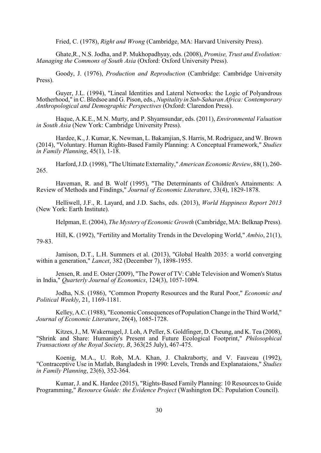Fried, C. (1978), *Right and Wrong* (Cambridge, MA: Harvard University Press).

Ghate,R., N.S. Jodha, and P. Mukhopadhyay, eds. (2008), *Promise, Trust and Evolution: Managing the Commons of South Asia* (Oxford: Oxford University Press).

Goody, J. (1976), *Production and Reproduction* (Cambridge: Cambridge University Press).

Guyer, J.L. (1994), "Lineal Identities and Lateral Networks: the Logic of Polyandrous Motherhood," in C. Bledsoe and G. Pison, eds., *Nupitality in Sub-Saharan Africa: Contemporary Anthropological and Demographic Perspectives* (Oxford: Clarendon Press).

Haque, A.K.E., M.N. Murty, and P. Shyamsundar, eds. (2011), *Environmental Valuation in South Asia* (New York: Cambridge University Press).

Hardee, K., J. Kumar, K. Newman, L. Bakamjian, S. Harris, M. Rodriguez, and W. Brown (2014), "Voluntary. Human Rights-Based Family Planning: A Conceptual Framework," *Studies in Family Planning*, 45(1), 1-18.

Harford, J.D. (1998), "The Ultimate Externality," *American Economic Review*, 88(1), 260- 265.

Haveman, R. and B. Wolf (1995), "The Determinants of Children's Attainments: A Review of Methods and Findings," *Journal of Economic Literature*, 33(4), 1829-1878.

Helliwell, J.F., R. Layard, and J.D. Sachs, eds. (2013), *World Happiness Report 2013* (New York: Earth Institute).

Helpman, E. (2004), *The Mystery of Economic Growth* (Cambridge, MA: Belknap Press).

Hill, K. (1992), "Fertility and Mortality Trends in the Developing World," *Ambio*, 21(1), 79-83.

Jamison, D.T., L.H. Summers et al. (2013), "Global Health 2035: a world converging within a generation," *Lancet*, 382 (December 7), 1898-1955.

Jensen, R. and E. Oster (2009), "The Power of TV: Cable Television and Women's Status in India," *Quarterly Journal of Economics*, 124(3), 1057-1094.

Jodha, N.S. (1986), "Common Property Resources and the Rural Poor," *Economic and Political Weekly*, 21, 1169-1181.

Kelley, A.C. (1988), "Economic Consequences of Population Change in the Third World," *Journal of Economic Literature*, 26(4), 1685-1728.

Kitzes, J., M. Wakernagel, J. Loh, A Peller, S. Goldfinger, D. Cheung, and K. Tea (2008), "Shrink and Share: Humanity's Present and Future Ecological Footprint," *Philosophical Transactions of the Royal Society, B*, 363(25 July), 467-475.

Koenig, M.A., U. Rob, M.A. Khan, J. Chakraborty, and V. Fauveau (1992), "Contraceptive Use in Matlab, Bangladesh in 1990: Levels, Trends and Explanataions," *Studies in Family Planning*, 23(6), 352-364.

Kumar, J. and K. Hardee (2015), "Rights-Based Family Planning: 10 Resources to Guide Programming," *Resource Guide: the Evidence Project* (Washington DC: Population Council).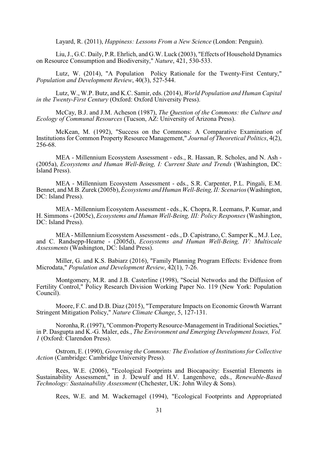Layard, R. (2011), *Happiness: Lessons From a New Science* (London: Penguin).

Liu, J., G.C. Daily, P.R. Ehrlich, and G.W. Luck (2003), "Effects of Household Dynamics on Resource Consumption and Biodiversity," *Nature*, 421, 530-533.

Lutz, W. (2014), "A Population Policy Rationale for the Twenty-First Century," *Population and Development Review*, 40(3), 527-544.

Lutz, W., W.P. Butz, and K.C. Samir, eds. (2014), *World Population and Human Capital in the Twenty-First Century* (Oxford: Oxford University Press).

McCay, B.J. and J.M. Acheson (1987), *The Question of the Commons: the Culture and Ecology of Communal Resources* (Tucson, AZ: University of Arizona Press).

McKean, M. (1992), "Success on the Commons: A Comparative Examination of Institutions for Common Property Resource Management," *Journal of Theoretical Politics*, 4(2), 256-68.

MEA - Millennium Ecosystem Assessment - eds., R. Hassan, R. Scholes, and N. Ash - (2005a), *Ecosystems and Human Well-Being, I: Current State and Trends* (Washington, DC: Island Press).

MEA - Millennium Ecosystem Assessment - eds., S.R. Carpenter, P.L. Pingali, E.M. Bennet, and M.B. Zurek (2005b), *Ecosystems and Human Well-Being, II: Scenarios* (Washington, DC: Island Press).

MEA - Millennium Ecosystem Assessment - eds., K. Chopra, R. Leemans, P. Kumar, and H. Simmons - (2005c), *Ecosystems and Human Well-Being, III: Policy Responses* (Washington, DC: Island Press).

MEA - Millennium Ecosystem Assessment - eds., D. Capistrano, C. Samper K., M.J. Lee, and C. Randsepp-Hearne - (2005d), *Ecosystems and Human Well-Being, IV: Multiscale Assessments* (Washington, DC: Island Press).

Miller, G. and K.S. Babiarz (2016), "Family Planning Program Effects: Evidence from Microdata," *Population and Development Review*, 42(1), 7-26.

Montgomery, M.R. and J.B. Casterline (1998), "Social Networks and the Diffusion of Fertility Control," Policy Research Division Working Paper No. 119 (New York: Population Council).

Moore, F.C. and D.B. Diaz (2015), "Temperature Impacts on Economic Growth Warrant Stringent Mitigation Policy," *Nature Climate Change*, 5, 127-131.

Noronha, R. (1997), "Common-Property Resource-Management in Traditional Societies," in P. Dasgupta and K.-G. Maler, eds., *The Environment and Emerging Development Issues, Vol. 1* (Oxford: Clarendon Press).

Ostrom, E. (1990), *Governing the Commons: The Evolution of Institutions for Collective Action* (Cambridge: Cambridge University Press).

Rees, W.E. (2006), "Ecological Footprints and Biocapacity: Essential Elements in Sustainability Assessment," in J. Dewulf and H.V. Langenhove, eds., *Renewable-Based Technology: Sustainability Assessment* (Chchester, UK: John Wiley & Sons).

Rees, W.E. and M. Wackernagel (1994), "Ecological Footprints and Appropriated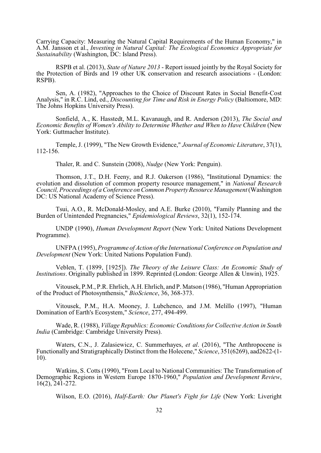Carrying Capacity: Measuring the Natural Capital Requirements of the Human Economy," in A.M. Jansson et al., *Investing in Natural Capital: The Ecological Economics Appropriate for Sustainability* (Washington, DC: Island Press).

RSPB et al. (2013), *State of Nature 2013* - Report issued jointly by the Royal Society for the Protection of Birds and 19 other UK conservation and research associations - (London: RSPB).

Sen, A. (1982), "Approaches to the Choice of Discount Rates in Social Benefit-Cost Analysis," in R.C. Lind, ed., *Discounting for Time and Risk in Energy Policy* (Baltiomore, MD: The Johns Hopkins University Press).

Sonfield, A., K. Hasstedt, M.L. Kavanaugh, and R. Anderson (2013), *The Social and Economic Benefits of Women's Ability to Determine Whether and When to Have Children* (New York: Guttmacher Institute).

Temple, J. (1999), "The New Growth Evidence," *Journal of Economic Literature*, 37(1), 112-156.

Thaler, R. and C. Sunstein (2008), *Nudge* (New York: Penguin).

Thomson, J.T., D.H. Feeny, and R.J. Oakerson (1986), "Institutional Dynamics: the evolution and dissolution of common property resource management," in *National Research Council, Proceedings of a Conference on Common Property Resource Management* (Washington DC: US National Academy of Science Press).

Tsui, A.O., R. McDonald-Mosley, and A.E. Burke (2010), "Family Planning and the Burden of Unintended Pregnancies," *Epidemiological Reviews*, 32(1), 152-174.

UNDP (1990), *Human Development Report* (New York: United Nations Development Programme).

UNFPA (1995), *Programme of Action of the International Conference on Population and Development* (New York: United Nations Population Fund).

Veblen, T. (1899, [1925]). *The Theory of the Leisure Class: An Economic Study of Institutions*. Originally published in 1899. Reprinted (London: George Allen & Unwin), 1925.

Vitousek, P.M., P.R. Ehrlich, A.H. Ehrlich, and P. Matson (1986), "Human Appropriation of the Product of Photosynthensis," *BioScience*, 36, 368-373.

Vitousek, P.M., H.A. Mooney, J. Lubchenco, and J.M. Melillo (1997), "Human Domination of Earth's Ecosystem," *Science*, 277, 494-499.

Wade, R. (1988), *Village Republics: Economic Conditions for Collective Action in South India* (Cambridge: Cambridge University Press).

Waters, C.N., J. Zalasiewicz, C. Summerhayes, *et al*. (2016), "The Anthropocene is Functionally and Stratigraphically Distinct from the Holecene," *Science*, 351(6269), aad2622-(1- 10).

Watkins, S. Cotts (1990), "From Local to National Communities: The Transformation of Demographic Regions in Western Europe 1870-1960," *Population and Development Review*, 16(2), 241-272.

Wilson, E.O. (2016), *Half-Earth: Our Planet's Fight for Life* (New York: Liveright